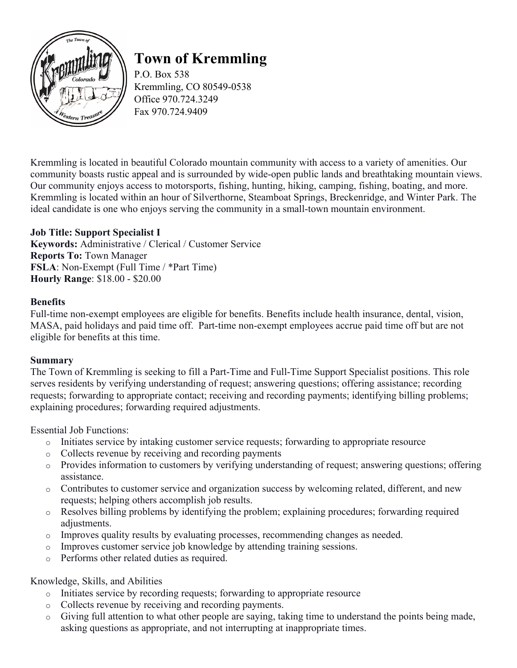

# **Town of Kremmling**

P.O. Box 538 Kremmling, CO 80549-0538 Office 970.724.3249 Fax 970.724.9409

Kremmling is located in beautiful Colorado mountain community with access to a variety of amenities. Our community boasts rustic appeal and is surrounded by wide-open public lands and breathtaking mountain views. Our community enjoys access to motorsports, fishing, hunting, hiking, camping, fishing, boating, and more. Kremmling is located within an hour of Silverthorne, Steamboat Springs, Breckenridge, and Winter Park. The ideal candidate is one who enjoys serving the community in a small-town mountain environment.

# **Job Title: Support Specialist I**

**Keywords:** Administrative / Clerical / Customer Service **Reports To:** Town Manager **FSLA**: Non-Exempt (Full Time / \*Part Time) **Hourly Range**: \$18.00 - \$20.00

#### **Benefits**

Full-time non-exempt employees are eligible for benefits. Benefits include health insurance, dental, vision, MASA, paid holidays and paid time off. Part-time non-exempt employees accrue paid time off but are not eligible for benefits at this time.

#### **Summary**

The Town of Kremmling is seeking to fill a Part-Time and Full-Time Support Specialist positions. This role serves residents by verifying understanding of request; answering questions; offering assistance; recording requests; forwarding to appropriate contact; receiving and recording payments; identifying billing problems; explaining procedures; forwarding required adjustments.

Essential Job Functions:

- o Initiates service by intaking customer service requests; forwarding to appropriate resource
- o Collects revenue by receiving and recording payments
- o Provides information to customers by verifying understanding of request; answering questions; offering assistance.
- o Contributes to customer service and organization success by welcoming related, different, and new requests; helping others accomplish job results.
- o Resolves billing problems by identifying the problem; explaining procedures; forwarding required adjustments.
- o Improves quality results by evaluating processes, recommending changes as needed.
- o Improves customer service job knowledge by attending training sessions.
- o Performs other related duties as required.

Knowledge, Skills, and Abilities

- o Initiates service by recording requests; forwarding to appropriate resource
- o Collects revenue by receiving and recording payments.
- o Giving full attention to what other people are saying, taking time to understand the points being made, asking questions as appropriate, and not interrupting at inappropriate times.